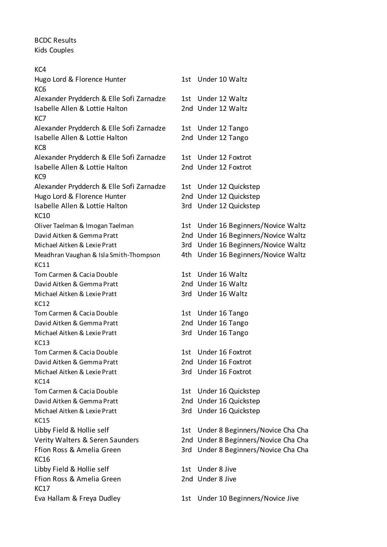## BCDC Results Kids Couples

| KC4                                            |      |                                      |
|------------------------------------------------|------|--------------------------------------|
| Hugo Lord & Florence Hunter<br>KC <sub>6</sub> |      | 1st Under 10 Waltz                   |
| Alexander Prydderch & Elle Sofi Zarnadze       |      | 1st Under 12 Waltz                   |
| Isabelle Allen & Lottie Halton<br>KC7          |      | 2nd Under 12 Waltz                   |
| Alexander Prydderch & Elle Sofi Zarnadze       |      | 1st Under 12 Tango                   |
| Isabelle Allen & Lottie Halton                 |      | 2nd Under 12 Tango                   |
| KC8                                            |      |                                      |
| Alexander Prydderch & Elle Sofi Zarnadze       |      | 1st Under 12 Foxtrot                 |
| Isabelle Allen & Lottie Halton                 |      | 2nd Under 12 Foxtrot                 |
| KC <sub>9</sub>                                |      |                                      |
| Alexander Prydderch & Elle Sofi Zarnadze       |      | 1st Under 12 Quickstep               |
| Hugo Lord & Florence Hunter                    |      | 2nd Under 12 Quickstep               |
| Isabelle Allen & Lottie Halton                 |      | 3rd Under 12 Quickstep               |
| <b>KC10</b>                                    |      |                                      |
| Oliver Taelman & Imogan Taelman                |      | 1st Under 16 Beginners/Novice Waltz  |
| David Aitken & Gemma Pratt                     |      | 2nd Under 16 Beginners/Novice Waltz  |
| Michael Aitken & Lexie Pratt                   |      | 3rd Under 16 Beginners/Novice Waltz  |
| Meadhran Vaughan & Isla Smith-Thompson         |      | 4th Under 16 Beginners/Novice Waltz  |
| <b>KC11</b>                                    |      |                                      |
| Tom Carmen & Cacia Double                      |      | 1st Under 16 Waltz                   |
| David Aitken & Gemma Pratt                     |      | 2nd Under 16 Waltz                   |
| Michael Aitken & Lexie Pratt                   |      | 3rd Under 16 Waltz                   |
| KC12                                           |      |                                      |
| Tom Carmen & Cacia Double                      |      | 1st Under 16 Tango                   |
| David Aitken & Gemma Pratt                     |      | 2nd Under 16 Tango                   |
| Michael Aitken & Lexie Pratt                   |      | 3rd Under 16 Tango                   |
| KC13                                           |      |                                      |
| Tom Carmen & Cacia Double                      | 1st. | Under 16 Foxtrot                     |
| David Aitken & Gemma Pratt                     |      | 2nd Under 16 Foxtrot                 |
| Michael Aitken & Lexie Pratt                   |      | 3rd Under 16 Foxtrot                 |
| <b>KC14</b>                                    |      |                                      |
| Tom Carmen & Cacia Double                      |      | 1st Under 16 Quickstep               |
| David Aitken & Gemma Pratt                     |      | 2nd Under 16 Quickstep               |
| Michael Aitken & Lexie Pratt                   |      | 3rd Under 16 Quickstep               |
| KC15                                           |      |                                      |
| Libby Field & Hollie self                      |      | 1st Under 8 Beginners/Novice Cha Cha |
| Verity Walters & Seren Saunders                |      | 2nd Under 8 Beginners/Novice Cha Cha |
| Ffion Ross & Amelia Green                      |      | 3rd Under 8 Beginners/Novice Cha Cha |
| <b>KC16</b>                                    |      |                                      |
| Libby Field & Hollie self                      | 1st. | Under 8 Jive                         |
| Ffion Ross & Amelia Green<br><b>KC17</b>       |      | 2nd Under 8 Jive                     |
| Eva Hallam & Freya Dudley                      |      | 1st Under 10 Beginners/Novice Jive   |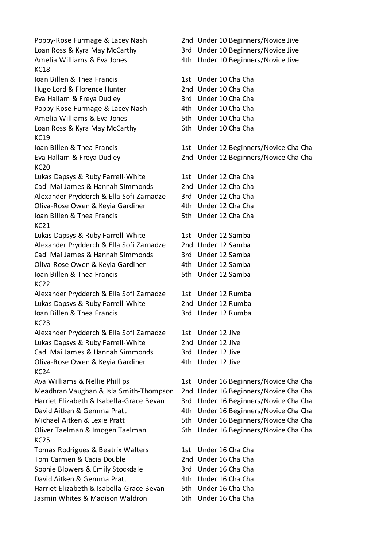Poppy-Rose Furmage & Lacey Nash 2nd Under 10 Beginners/Novice Jive Loan Ross & Kyra May McCarthy 3rd Under 10 Beginners/Novice Jive Amelia Williams & Eva Jones 4th Under 10 Beginners/Novice Jive KC18 Ioan Billen & Thea Francis 1st Under 10 Cha Cha Hugo Lord & Florence Hunter 2nd Under 10 Cha Cha Eva Hallam & Freya Dudley 3rd Under 10 Cha Cha Poppy-Rose Furmage & Lacey Nash 4th Under 10 Cha Cha Amelia Williams & Eva Jones 6. Example 5th Under 10 Cha Cha Loan Ross & Kyra May McCarthy 6th Under 10 Cha Cha KC19 Ioan Billen & Thea Francis 1st Under 12 Beginners/Novice Cha Cha Eva Hallam & Freya Dudley 2nd Under 12 Beginners/Novice Cha Cha KC20 Lukas Dapsys & Ruby Farrell-White 1st Under 12 Cha Cha Cadi Mai James & Hannah Simmonds 2nd Under 12 Cha Cha Alexander Prydderch & Ella Sofi Zarnadze 3rd Under 12 Cha Cha Oliva-Rose Owen & Keyia Gardiner 4th Under 12 Cha Cha Ioan Billen & Thea Francis The Sth Under 12 Cha Cha KC21 Lukas Dapsys & Ruby Farrell-White 1st Under 12 Samba Alexander Prydderch & Ella Sofi Zarnadze 2nd Under 12 Samba Cadi Mai James & Hannah Simmonds 3rd Under 12 Samba Oliva-Rose Owen & Keyia Gardiner 4th Under 12 Samba Ioan Billen & Thea Francis 6th Under 12 Samba KC<sub>22</sub> Alexander Prydderch & Ella Sofi Zarnadze 1st Under 12 Rumba Lukas Dapsys & Ruby Farrell-White 2nd Under 12 Rumba Ioan Billen & Thea Francis 3rd Under 12 Rumba KC23 Alexander Prydderch & Ella Sofi Zarnadze 1st Under 12 Jive Lukas Dapsys & Ruby Farrell-White 2nd Under 12 Jive Cadi Mai James & Hannah Simmonds 3rd Under 12 Jive Oliva-Rose Owen & Keyia Gardiner 4th Under 12 Jive KC24 Ava Williams & Nellie Phillips 1st Under 16 Beginners/Novice Cha Cha Meadhran Vaughan & Isla Smith-Thompson 2nd Under 16 Beginners/Novice Cha Cha Harriet Elizabeth & Isabella-Grace Bevan 3rd Under 16 Beginners/Novice Cha Cha David Aitken & Gemma Pratt 4th Under 16 Beginners/Novice Cha Cha Michael Aitken & Lexie Pratt 5th Under 16 Beginners/Novice Cha Cha Oliver Taelman & Imogen Taelman 6th Under 16 Beginners/Novice Cha Cha KC25 Tomas Rodrigues & Beatrix Walters 1st Under 16 Cha Cha Tom Carmen & Cacia Double 2nd Under 16 Cha Cha Sophie Blowers & Emily Stockdale 3rd Under 16 Cha Cha David Aitken & Gemma Pratt 4th Under 16 Cha Cha Harriet Elizabeth & Isabella-Grace Bevan 5th Under 16 Cha Cha Jasmin Whites & Madison Waldron 6th Under 16 Cha Cha